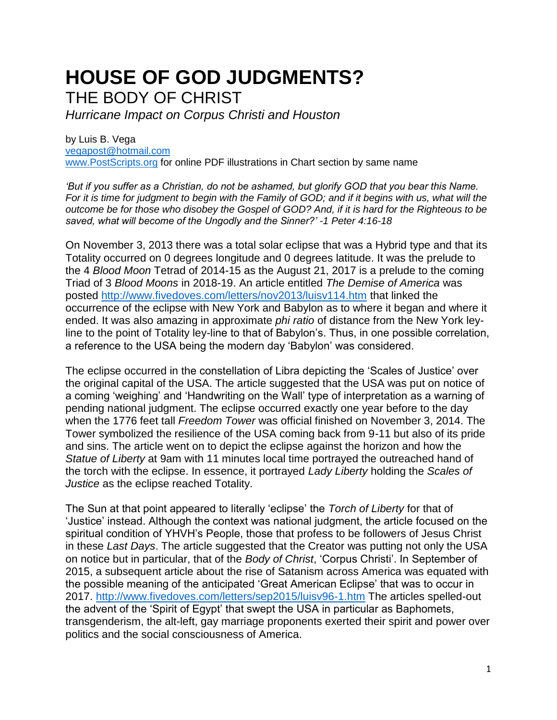## **HOUSE OF GOD JUDGMENTS?** THE BODY OF CHRIST

*Hurricane Impact on Corpus Christi and Houston*

by Luis B. Vega [vegapost@hotmail.com](mailto:vegapost@hotmail.com) [www.PostScripts.org](http://www.postscripts.org/) for online PDF illustrations in Chart section by same name

*'But if you suffer as a Christian, do not be ashamed, but glorify GOD that you bear this Name. For it is time for judgment to begin with the Family of GOD; and if it begins with us, what will the outcome be for those who disobey the Gospel of GOD? And, if it is hard for the Righteous to be saved, what will become of the Ungodly and the Sinner?' -1 Peter 4:16-18*

On November 3, 2013 there was a total solar eclipse that was a Hybrid type and that its Totality occurred on 0 degrees longitude and 0 degrees latitude. It was the prelude to the 4 *Blood Moon* Tetrad of 2014-15 as the August 21, 2017 is a prelude to the coming Triad of 3 *Blood Moons* in 2018-19. An article entitled *The Demise of America* was posted<http://www.fivedoves.com/letters/nov2013/luisv114.htm> that linked the occurrence of the eclipse with New York and Babylon as to where it began and where it ended. It was also amazing in approximate *phi ratio* of distance from the New York leyline to the point of Totality ley-line to that of Babylon's. Thus, in one possible correlation, a reference to the USA being the modern day 'Babylon' was considered.

The eclipse occurred in the constellation of Libra depicting the 'Scales of Justice' over the original capital of the USA. The article suggested that the USA was put on notice of a coming 'weighing' and 'Handwriting on the Wall' type of interpretation as a warning of pending national judgment. The eclipse occurred exactly one year before to the day when the 1776 feet tall *Freedom Tower* was official finished on November 3, 2014. The Tower symbolized the resilience of the USA coming back from 9-11 but also of its pride and sins. The article went on to depict the eclipse against the horizon and how the *Statue of Liberty* at 9am with 11 minutes local time portrayed the outreached hand of the torch with the eclipse. In essence, it portrayed *Lady Liberty* holding the *Scales of Justice* as the eclipse reached Totality.

The Sun at that point appeared to literally 'eclipse' the *Torch of Liberty* for that of 'Justice' instead. Although the context was national judgment, the article focused on the spiritual condition of YHVH's People, those that profess to be followers of Jesus Christ in these *Last Days*. The article suggested that the Creator was putting not only the USA on notice but in particular, that of the *Body of Christ*, 'Corpus Christi'. In September of 2015, a subsequent article about the rise of Satanism across America was equated with the possible meaning of the anticipated 'Great American Eclipse' that was to occur in 2017.<http://www.fivedoves.com/letters/sep2015/luisv96-1.htm> The articles spelled-out the advent of the 'Spirit of Egypt' that swept the USA in particular as Baphomets, transgenderism, the alt-left, gay marriage proponents exerted their spirit and power over politics and the social consciousness of America.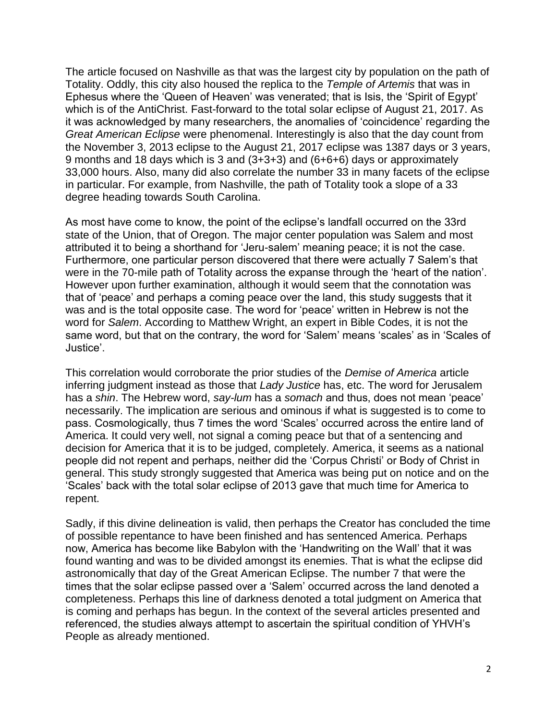The article focused on Nashville as that was the largest city by population on the path of Totality. Oddly, this city also housed the replica to the *Temple of Artemis* that was in Ephesus where the 'Queen of Heaven' was venerated; that is Isis, the 'Spirit of Egypt' which is of the AntiChrist. Fast-forward to the total solar eclipse of August 21, 2017. As it was acknowledged by many researchers, the anomalies of 'coincidence' regarding the *Great American Eclipse* were phenomenal. Interestingly is also that the day count from the November 3, 2013 eclipse to the August 21, 2017 eclipse was 1387 days or 3 years, 9 months and 18 days which is 3 and (3+3+3) and (6+6+6) days or approximately 33,000 hours. Also, many did also correlate the number 33 in many facets of the eclipse in particular. For example, from Nashville, the path of Totality took a slope of a 33 degree heading towards South Carolina.

As most have come to know, the point of the eclipse's landfall occurred on the 33rd state of the Union, that of Oregon. The major center population was Salem and most attributed it to being a shorthand for 'Jeru-salem' meaning peace; it is not the case. Furthermore, one particular person discovered that there were actually 7 Salem's that were in the 70-mile path of Totality across the expanse through the 'heart of the nation'. However upon further examination, although it would seem that the connotation was that of 'peace' and perhaps a coming peace over the land, this study suggests that it was and is the total opposite case. The word for 'peace' written in Hebrew is not the word for *Salem*. According to Matthew Wright, an expert in Bible Codes, it is not the same word, but that on the contrary, the word for 'Salem' means 'scales' as in 'Scales of Justice'.

This correlation would corroborate the prior studies of the *Demise of America* article inferring judgment instead as those that *Lady Justice* has, etc. The word for Jerusalem has a *shin*. The Hebrew word, *say-lum* has a *somach* and thus, does not mean 'peace' necessarily. The implication are serious and ominous if what is suggested is to come to pass. Cosmologically, thus 7 times the word 'Scales' occurred across the entire land of America. It could very well, not signal a coming peace but that of a sentencing and decision for America that it is to be judged, completely. America, it seems as a national people did not repent and perhaps, neither did the 'Corpus Christi' or Body of Christ in general. This study strongly suggested that America was being put on notice and on the 'Scales' back with the total solar eclipse of 2013 gave that much time for America to repent.

Sadly, if this divine delineation is valid, then perhaps the Creator has concluded the time of possible repentance to have been finished and has sentenced America. Perhaps now, America has become like Babylon with the 'Handwriting on the Wall' that it was found wanting and was to be divided amongst its enemies. That is what the eclipse did astronomically that day of the Great American Eclipse. The number 7 that were the times that the solar eclipse passed over a 'Salem' occurred across the land denoted a completeness. Perhaps this line of darkness denoted a total judgment on America that is coming and perhaps has begun. In the context of the several articles presented and referenced, the studies always attempt to ascertain the spiritual condition of YHVH's People as already mentioned.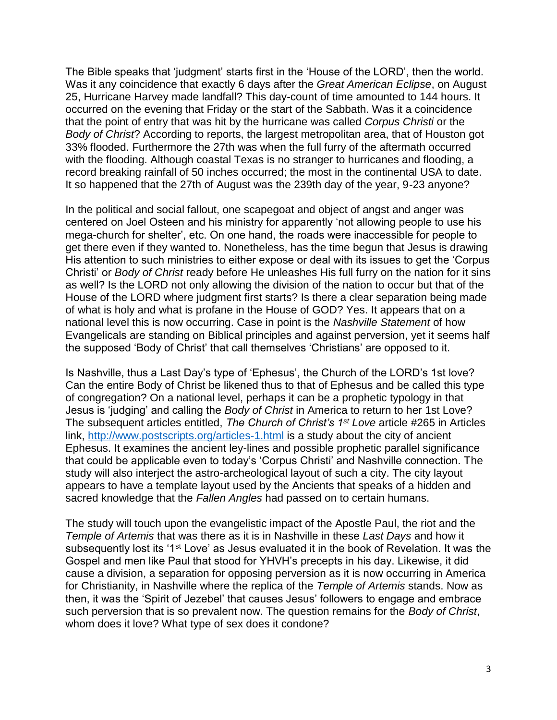The Bible speaks that 'judgment' starts first in the 'House of the LORD', then the world. Was it any coincidence that exactly 6 days after the *Great American Eclipse*, on August 25, Hurricane Harvey made landfall? This day-count of time amounted to 144 hours. It occurred on the evening that Friday or the start of the Sabbath. Was it a coincidence that the point of entry that was hit by the hurricane was called *Corpus Christi* or the *Body of Christ*? According to reports, the largest metropolitan area, that of Houston got 33% flooded. Furthermore the 27th was when the full furry of the aftermath occurred with the flooding. Although coastal Texas is no stranger to hurricanes and flooding, a record breaking rainfall of 50 inches occurred; the most in the continental USA to date. It so happened that the 27th of August was the 239th day of the year, 9-23 anyone?

In the political and social fallout, one scapegoat and object of angst and anger was centered on Joel Osteen and his ministry for apparently 'not allowing people to use his mega-church for shelter', etc. On one hand, the roads were inaccessible for people to get there even if they wanted to. Nonetheless, has the time begun that Jesus is drawing His attention to such ministries to either expose or deal with its issues to get the 'Corpus Christi' or *Body of Christ* ready before He unleashes His full furry on the nation for it sins as well? Is the LORD not only allowing the division of the nation to occur but that of the House of the LORD where judgment first starts? Is there a clear separation being made of what is holy and what is profane in the House of GOD? Yes. It appears that on a national level this is now occurring. Case in point is the *Nashville Statement* of how Evangelicals are standing on Biblical principles and against perversion, yet it seems half the supposed 'Body of Christ' that call themselves 'Christians' are opposed to it.

Is Nashville, thus a Last Day's type of 'Ephesus', the Church of the LORD's 1st love? Can the entire Body of Christ be likened thus to that of Ephesus and be called this type of congregation? On a national level, perhaps it can be a prophetic typology in that Jesus is 'judging' and calling the *Body of Christ* in America to return to her 1st Love? The subsequent articles entitled, *The Church of Christ's 1st Love* article #265 in Articles link,<http://www.postscripts.org/articles-1.html> is a study about the city of ancient Ephesus. It examines the ancient ley-lines and possible prophetic parallel significance that could be applicable even to today's 'Corpus Christi' and Nashville connection. The study will also interject the astro-archeological layout of such a city. The city layout appears to have a template layout used by the Ancients that speaks of a hidden and sacred knowledge that the *Fallen Angles* had passed on to certain humans.

The study will touch upon the evangelistic impact of the Apostle Paul, the riot and the *Temple of Artemis* that was there as it is in Nashville in these *Last Days* and how it subsequently lost its '1<sup>st</sup> Love' as Jesus evaluated it in the book of Revelation. It was the Gospel and men like Paul that stood for YHVH's precepts in his day. Likewise, it did cause a division, a separation for opposing perversion as it is now occurring in America for Christianity, in Nashville where the replica of the *Temple of Artemis* stands. Now as then, it was the 'Spirit of Jezebel' that causes Jesus' followers to engage and embrace such perversion that is so prevalent now. The question remains for the *Body of Christ*, whom does it love? What type of sex does it condone?